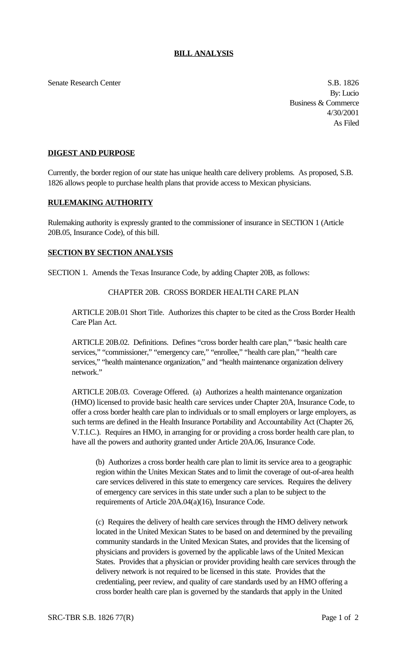Senate Research Center S.B. 1826

By: Lucio Business & Commerce 4/30/2001 As Filed

## **DIGEST AND PURPOSE**

Currently, the border region of our state has unique health care delivery problems. As proposed, S.B. 1826 allows people to purchase health plans that provide access to Mexican physicians.

## **RULEMAKING AUTHORITY**

Rulemaking authority is expressly granted to the commissioner of insurance in SECTION 1 (Article 20B.05, Insurance Code), of this bill.

## **SECTION BY SECTION ANALYSIS**

SECTION 1. Amends the Texas Insurance Code, by adding Chapter 20B, as follows:

## CHAPTER 20B. CROSS BORDER HEALTH CARE PLAN

ARTICLE 20B.01 Short Title. Authorizes this chapter to be cited as the Cross Border Health Care Plan Act.

ARTICLE 20B.02. Definitions. Defines "cross border health care plan," "basic health care services," "commissioner," "emergency care," "enrollee," "health care plan," "health care services," "health maintenance organization," and "health maintenance organization delivery network."

ARTICLE 20B.03. Coverage Offered. (a) Authorizes a health maintenance organization (HMO) licensed to provide basic health care services under Chapter 20A, Insurance Code, to offer a cross border health care plan to individuals or to small employers or large employers, as such terms are defined in the Health Insurance Portability and Accountability Act (Chapter 26, V.T.I.C.). Requires an HMO, in arranging for or providing a cross border health care plan, to have all the powers and authority granted under Article 20A.06, Insurance Code.

(b) Authorizes a cross border health care plan to limit its service area to a geographic region within the Unites Mexican States and to limit the coverage of out-of-area health care services delivered in this state to emergency care services. Requires the delivery of emergency care services in this state under such a plan to be subject to the requirements of Article 20A.04(a)(16), Insurance Code.

(c) Requires the delivery of health care services through the HMO delivery network located in the United Mexican States to be based on and determined by the prevailing community standards in the United Mexican States, and provides that the licensing of physicians and providers is governed by the applicable laws of the United Mexican States. Provides that a physician or provider providing health care services through the delivery network is not required to be licensed in this state. Provides that the credentialing, peer review, and quality of care standards used by an HMO offering a cross border health care plan is governed by the standards that apply in the United